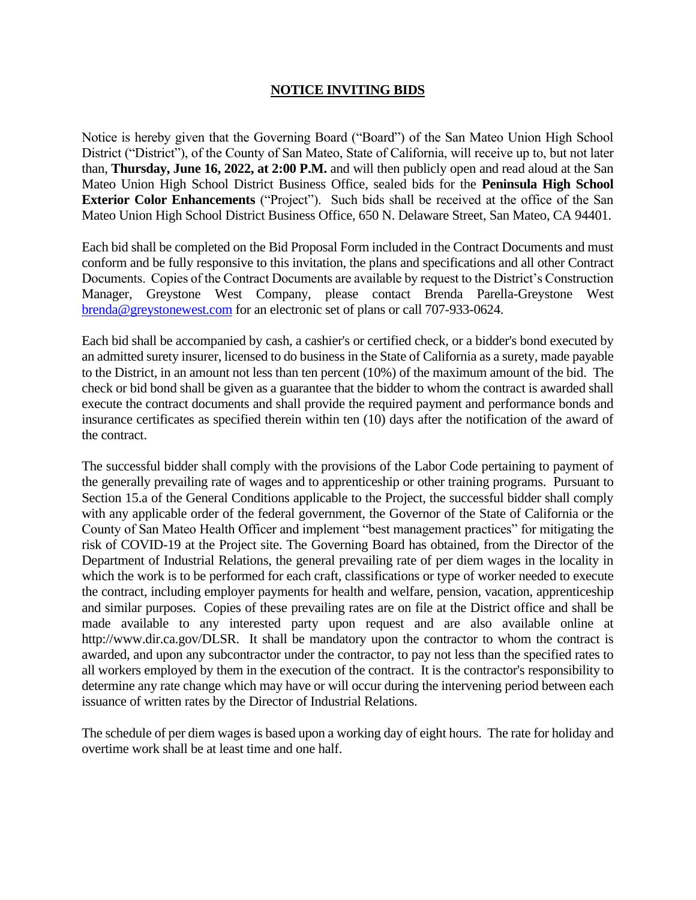## **NOTICE INVITING BIDS**

Notice is hereby given that the Governing Board ("Board") of the San Mateo Union High School District ("District"), of the County of San Mateo, State of California, will receive up to, but not later than, **Thursday, June 16, 2022, at 2:00 P.M.** and will then publicly open and read aloud at the San Mateo Union High School District Business Office, sealed bids for the **Peninsula High School Exterior Color Enhancements** ("Project"). Such bids shall be received at the office of the San Mateo Union High School District Business Office, 650 N. Delaware Street, San Mateo, CA 94401.

Each bid shall be completed on the Bid Proposal Form included in the Contract Documents and must conform and be fully responsive to this invitation, the plans and specifications and all other Contract Documents. Copies of the Contract Documents are available by request to the District's Construction Manager, Greystone West Company, please contact Brenda Parella-Greystone West [brenda@greystonewest.com](mailto:brenda@greystonewest.com) for an electronic set of plans or call 707-933-0624.

Each bid shall be accompanied by cash, a cashier's or certified check, or a bidder's bond executed by an admitted surety insurer, licensed to do business in the State of California as a surety, made payable to the District, in an amount not less than ten percent (10%) of the maximum amount of the bid. The check or bid bond shall be given as a guarantee that the bidder to whom the contract is awarded shall execute the contract documents and shall provide the required payment and performance bonds and insurance certificates as specified therein within ten (10) days after the notification of the award of the contract.

The successful bidder shall comply with the provisions of the Labor Code pertaining to payment of the generally prevailing rate of wages and to apprenticeship or other training programs. Pursuant to Section 15.a of the General Conditions applicable to the Project, the successful bidder shall comply with any applicable order of the federal government, the Governor of the State of California or the County of San Mateo Health Officer and implement "best management practices" for mitigating the risk of COVID-19 at the Project site. The Governing Board has obtained, from the Director of the Department of Industrial Relations, the general prevailing rate of per diem wages in the locality in which the work is to be performed for each craft, classifications or type of worker needed to execute the contract, including employer payments for health and welfare, pension, vacation, apprenticeship and similar purposes. Copies of these prevailing rates are on file at the District office and shall be made available to any interested party upon request and are also available online at http://www.dir.ca.gov/DLSR. It shall be mandatory upon the contractor to whom the contract is awarded, and upon any subcontractor under the contractor, to pay not less than the specified rates to all workers employed by them in the execution of the contract. It is the contractor's responsibility to determine any rate change which may have or will occur during the intervening period between each issuance of written rates by the Director of Industrial Relations.

The schedule of per diem wages is based upon a working day of eight hours. The rate for holiday and overtime work shall be at least time and one half.